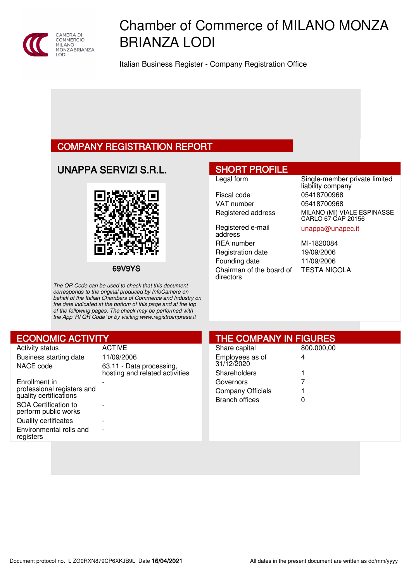

# Chamber of Commerce of MILANO MONZA BRIANZA LODI

Italian Business Register - Company Registration Office

# COMPANY REGISTRATION REPORT

UNAPPA SERVIZI S.R.L.



69V9YS

The QR Code can be used to check that this document corresponds to the original produced by InfoCamere on behalf of the Italian Chambers of Commerce and Industry on the date indicated at the bottom of this page and at the top of the following pages. The check may be performed with the App 'RI QR Code' or by visiting www.registroimprese.it

# SHORT PROFILE

Fiscal code 05418700968 VAT number 05418700968

Registered e-mail address REA number MI-1820084 Registration date 19/09/2006 Founding date 11/09/2006 Chairman of the board of directors

Legal form Single-member private limited liability company Registered address MILANO (MI) VIALE ESPINASSE CARLO 67 CAP 20156

### unappa@unapec.it

TESTA NICOLA

| <b>ECONOMIC ACTIVITY</b>                                                                                                                                                               |                                                            | <b>THE COMPANY IN FIGURES</b>                                           |                 |
|----------------------------------------------------------------------------------------------------------------------------------------------------------------------------------------|------------------------------------------------------------|-------------------------------------------------------------------------|-----------------|
| <b>Activity status</b><br>Business starting date<br>NACE code                                                                                                                          | <b>ACTIVE</b><br>11/09/2006<br>63.11 - Data processing,    | Share capital<br>Employees as of<br>31/12/2020                          | 800.000,00<br>4 |
| Enrollment in<br>professional registers and<br>quality certifications<br><b>SOA Certification to</b><br>perform public works<br><b>Quality certificates</b><br>Environmental rolls and | hosting and related activities<br>$\overline{\phantom{a}}$ | Shareholders<br>Governors<br>Company Officials<br><b>Branch offices</b> | 0               |
| registers                                                                                                                                                                              |                                                            |                                                                         |                 |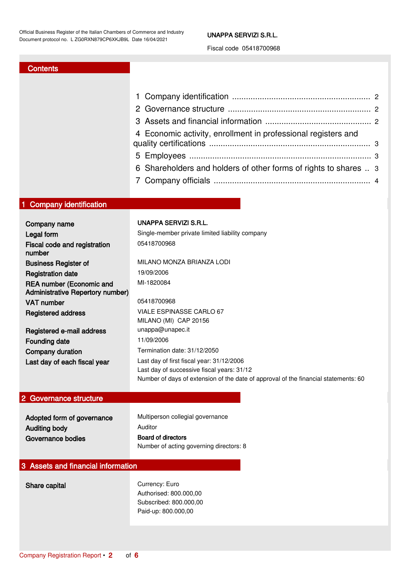### UNAPPA SERVIZI S.R.L.

Fiscal code 05418700968

# **Contents**

| 4 Economic activity, enrollment in professional registers and    |  |
|------------------------------------------------------------------|--|
|                                                                  |  |
| 6 Shareholders and holders of other forms of rights to shares  3 |  |
|                                                                  |  |
|                                                                  |  |

# <span id="page-1-0"></span>1 Company identification

| Company name                                                               | UNAPPA SERVIZI S.R.L.                                                                                                                                                          |
|----------------------------------------------------------------------------|--------------------------------------------------------------------------------------------------------------------------------------------------------------------------------|
| Legal form                                                                 | Single-member private limited liability company                                                                                                                                |
| Fiscal code and registration<br>number                                     | 05418700968                                                                                                                                                                    |
| <b>Business Register of</b>                                                | MILANO MONZA BRIANZA LODI                                                                                                                                                      |
| <b>Registration date</b>                                                   | 19/09/2006                                                                                                                                                                     |
| <b>REA number (Economic and</b><br><b>Administrative Repertory number)</b> | MI-1820084                                                                                                                                                                     |
| VAT number                                                                 | 05418700968                                                                                                                                                                    |
| <b>Registered address</b>                                                  | VIALE ESPINASSE CARLO 67<br>MILANO (MI) CAP 20156                                                                                                                              |
| Registered e-mail address                                                  | unappa@unapec.it                                                                                                                                                               |
| <b>Founding date</b>                                                       | 11/09/2006                                                                                                                                                                     |
| Company duration                                                           | Termination date: 31/12/2050                                                                                                                                                   |
| Last day of each fiscal year                                               | Last day of first fiscal year: 31/12/2006<br>Last day of successive fiscal years: 31/12<br>Number of days of extension of the date of approval of the financial statements: 60 |

# <span id="page-1-1"></span>2 Governance structure

| Adopted form of governance | Multiperson collegial governance        |
|----------------------------|-----------------------------------------|
| Auditing body              | Auditor                                 |
| Governance bodies          | Board of directors                      |
|                            | Number of acting governing directors: 8 |

# <span id="page-1-2"></span>3 Assets and financial information

Share capital Currency: Euro Authorised: 800.000,00 Subscribed: 800.000,00 Paid-up: 800.000,00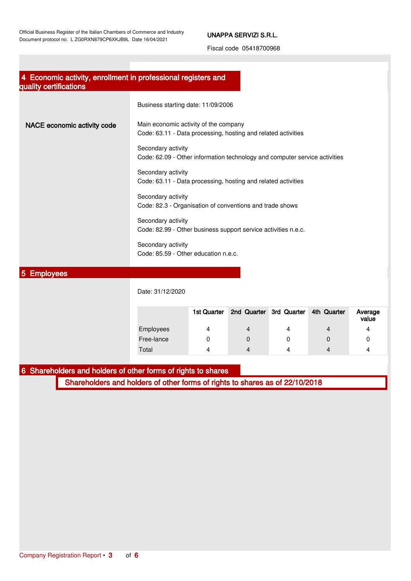## UNAPPA SERVIZI S.R.L.

Fiscal code 05418700968

<span id="page-2-0"></span>

| 4 Economic activity, enrollment in professional registers and<br>quality certifications |                                                                                                        |
|-----------------------------------------------------------------------------------------|--------------------------------------------------------------------------------------------------------|
|                                                                                         | Business starting date: 11/09/2006                                                                     |
| NACE economic activity code                                                             | Main economic activity of the company<br>Code: 63.11 - Data processing, hosting and related activities |
|                                                                                         | Secondary activity<br>Code: 62.09 - Other information technology and computer service activities       |
|                                                                                         | Secondary activity<br>Code: 63.11 - Data processing, hosting and related activities                    |
|                                                                                         | Secondary activity<br>Code: 82.3 - Organisation of conventions and trade shows                         |
|                                                                                         | Secondary activity<br>Code: 82.99 - Other business support service activities n.e.c.                   |
|                                                                                         | Secondary activity<br>Code: 85.59 - Other education n.e.c.                                             |
| <b>PERMIT AND INCOME.</b>                                                               |                                                                                                        |

### <span id="page-2-1"></span>5 Employees

| Date: 31/12/2020 |             |                         |   |             |                  |
|------------------|-------------|-------------------------|---|-------------|------------------|
|                  | 1st Quarter | 2nd Quarter 3rd Quarter |   | 4th Quarter | Average<br>value |
| Employees        | 4           | 4                       | 4 | 4           | 4                |
| Free-lance       |             | 0                       | 0 | 0           |                  |
| Total            | 4           |                         | 4 |             | Δ                |

# <span id="page-2-2"></span>6 Shareholders and holders of other forms of rights to shares

Shareholders and holders of other forms of rights to shares as of 22/10/2018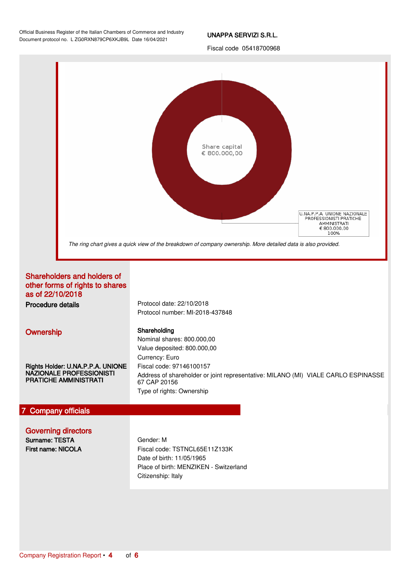Official Business Register of the Italian Chambers of Commerce and Industry Document protocol no. L ZG0RXN879CP6XKJB9L Date 16/04/2021

### UNAPPA SERVIZI S.R.L.

Fiscal code 05418700968



# <span id="page-3-0"></span>7 Company officials

Governing directors

Surname: TESTA First name: NICOLA Gender: M Fiscal code: TSTNCL65E11Z133K Date of birth: 11/05/1965 Place of birth: MENZIKEN - Switzerland Citizenship: Italy

Type of rights: Ownership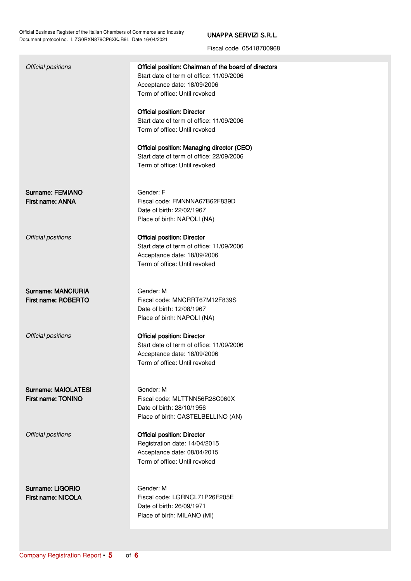Official Business Register of the Italian Chambers of Commerce and Industry Document protocol no. L ZG0RXN879CP6XKJB9L Date 16/04/2021

# UNAPPA SERVIZI S.R.L.

Fiscal code 05418700968

| Official positions                        | Official position: Chairman of the board of directors<br>Start date of term of office: 11/09/2006<br>Acceptance date: 18/09/2006<br>Term of office: Until revoked |
|-------------------------------------------|-------------------------------------------------------------------------------------------------------------------------------------------------------------------|
|                                           | <b>Official position: Director</b><br>Start date of term of office: 11/09/2006<br>Term of office: Until revoked                                                   |
|                                           | Official position: Managing director (CEO)<br>Start date of term of office: 22/09/2006<br>Term of office: Until revoked                                           |
| Surname: FEMIANO<br>First name: ANNA      | Gender: F<br>Fiscal code: FMNNNA67B62F839D<br>Date of birth: 22/02/1967<br>Place of birth: NAPOLI (NA)                                                            |
| Official positions                        | <b>Official position: Director</b><br>Start date of term of office: 11/09/2006<br>Acceptance date: 18/09/2006<br>Term of office: Until revoked                    |
| Surname: MANCIURIA<br>First name: ROBERTO | Gender: M<br>Fiscal code: MNCRRT67M12F839S<br>Date of birth: 12/08/1967<br>Place of birth: NAPOLI (NA)                                                            |
| Official positions                        | <b>Official position: Director</b><br>Start date of term of office: 11/09/2006<br>Acceptance date: 18/09/2006<br>Term of office: Until revoked                    |
| Surname: MAIOLATESI<br>First name: TONINO | Gender: M<br>Fiscal code: MLTTNN56R28C060X<br>Date of birth: 28/10/1956<br>Place of birth: CASTELBELLINO (AN)                                                     |
| Official positions                        | <b>Official position: Director</b><br>Registration date: 14/04/2015<br>Acceptance date: 08/04/2015<br>Term of office: Until revoked                               |
| Surname: LIGORIO<br>First name: NICOLA    | Gender: M<br>Fiscal code: LGRNCL71P26F205E<br>Date of birth: 26/09/1971<br>Place of birth: MILANO (MI)                                                            |